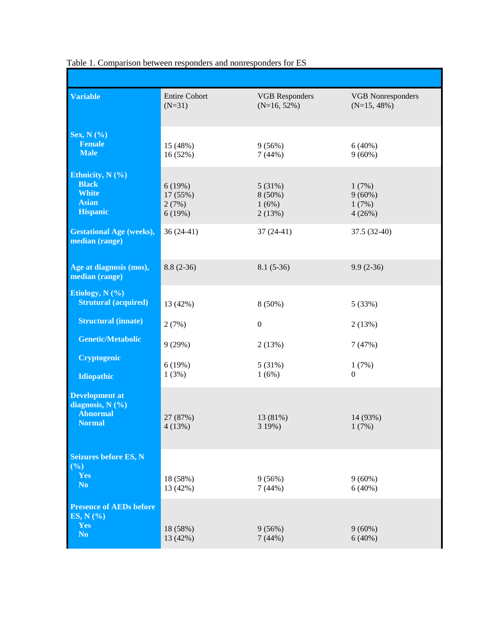| <b>Variable</b>                                                                     | <b>Entire Cohort</b><br>$(N=31)$      | <b>VGB</b> Responders<br>$(N=16, 52\%)$ | <b>VGB</b> Nonresponders<br>$(N=15, 48\%)$ |
|-------------------------------------------------------------------------------------|---------------------------------------|-----------------------------------------|--------------------------------------------|
| <b>Sex, N</b> (%)<br><b>Female</b><br><b>Male</b>                                   | 15 (48%)<br>16 (52%)                  | 9(56%)<br>7(44%)                        | 6(40%)<br>$9(60\%)$                        |
| Ethnicity, $N(%$<br><b>Black</b><br><b>White</b><br><b>Asian</b><br><b>Hispanic</b> | 6(19%)<br>17 (55%)<br>2(7%)<br>6(19%) | 5(31%)<br>$8(50\%)$<br>1(6%)<br>2(13%)  | 1(7%)<br>$9(60\%)$<br>1(7%)<br>4(26%)      |
| <b>Gestational Age (weeks),</b><br>median (range)                                   | $36(24-41)$                           | $37(24-41)$                             | 37.5 (32-40)                               |
| Age at diagnosis (mos),<br>median (range)                                           | $8.8(2-36)$                           | $8.1(5-36)$                             | $9.9(2-36)$                                |
| Etiology, N $(\% )$<br><b>Strutural (acquired)</b>                                  | 13 (42%)                              | $8(50\%)$                               | 5 (33%)                                    |
| <b>Structural (innate)</b>                                                          | 2(7%)                                 | $\boldsymbol{0}$                        | 2(13%)                                     |
| <b>Genetic/Metabolic</b>                                                            | 9(29%)                                | 2(13%)                                  | 7(47%)                                     |
| <b>Cryptogenic</b><br>Idiopathic                                                    | 6(19%)<br>1(3%)                       | 5(31%)<br>1(6%)                         | 1(7%)<br>$\overline{0}$                    |
| <b>Development at</b><br>diagnosis, $N$ (%)<br><b>Abnormal</b><br><b>Normal</b>     | 27 (87%)<br>4(13%)                    | 13 (81%)<br>3 19%)                      | 14 (93%)<br>1(7%)                          |
| <b>Seizures before ES, N</b><br>(%)<br>Yes<br>N <sub>o</sub>                        | 18 (58%)<br>13 (42%)                  | 9(56%)<br>7(44%)                        | $9(60\%)$<br>6(40%)                        |
| <b>Presence of AEDs before</b><br>ES, $N$ $(\%$<br>Yes<br>N <sub>o</sub>            | 18 (58%)<br>13 (42%)                  | 9(56%)<br>7(44%)                        | $9(60\%)$<br>6(40%)                        |

Table 1. Comparison between responders and nonresponders for ES